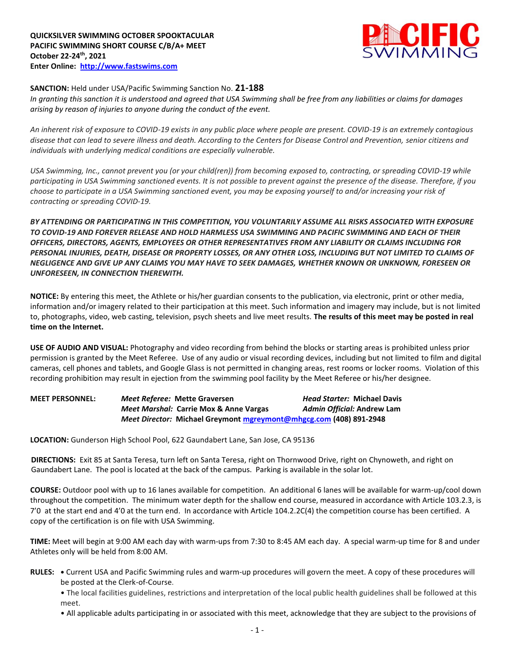

## **SANCTION:** Held under USA/Pacific Swimming Sanction No. **21-188**

*In granting this sanction it is understood and agreed that USA Swimming shall be free from any liabilities or claims for damages arising by reason of injuries to anyone during the conduct of the event.* 

*An inherent risk of exposure to COVID-19 exists in any public place where people are present. COVID-19 is an extremely contagious disease that can lead to severe illness and death. According to the Centers for Disease Control and Prevention, senior citizens and individuals with underlying medical conditions are especially vulnerable.*

*USA Swimming, Inc., cannot prevent you (or your child(ren)) from becoming exposed to, contracting, or spreading COVID-19 while participating in USA Swimming sanctioned events. It is not possible to prevent against the presence of the disease. Therefore, if you choose to participate in a USA Swimming sanctioned event, you may be exposing yourself to and/or increasing your risk of contracting or spreading COVID-19.*

*BY ATTENDING OR PARTICIPATING IN THIS COMPETITION, YOU VOLUNTARILY ASSUME ALL RISKS ASSOCIATED WITH EXPOSURE TO COVID-19 AND FOREVER RELEASE AND HOLD HARMLESS USA SWIMMING AND PACIFIC SWIMMING AND EACH OF THEIR OFFICERS, DIRECTORS, AGENTS, EMPLOYEES OR OTHER REPRESENTATIVES FROM ANY LIABILITY OR CLAIMS INCLUDING FOR PERSONAL INJURIES, DEATH, DISEASE OR PROPERTY LOSSES, OR ANY OTHER LOSS, INCLUDING BUT NOT LIMITED TO CLAIMS OF NEGLIGENCE AND GIVE UP ANY CLAIMS YOU MAY HAVE TO SEEK DAMAGES, WHETHER KNOWN OR UNKNOWN, FORESEEN OR UNFORESEEN, IN CONNECTION THEREWITH.*

**NOTICE:** By entering this meet, the Athlete or his/her guardian consents to the publication, via electronic, print or other media, information and/or imagery related to their participation at this meet. Such information and imagery may include, but is not limited to, photographs, video, web casting, television, psych sheets and live meet results. **The results of this meet may be posted in real time on the Internet.**

**USE OF AUDIO AND VISUAL:** Photography and video recording from behind the blocks or starting areas is prohibited unless prior permission is granted by the Meet Referee. Use of any audio or visual recording devices, including but not limited to film and digital cameras, cell phones and tablets, and Google Glass is not permitted in changing areas, rest rooms or locker rooms. Violation of this recording prohibition may result in ejection from the swimming pool facility by the Meet Referee or his/her designee.

**MEET PERSONNEL:** *Meet Referee:* **Mette Graversen** *Head Starter:* **Michael Davis** *Meet Marshal:* **Carrie Mox & Anne Vargas** *Admin Official:* **Andrew Lam** *Meet Director:* **Michael Greymont [mgreymont@mhgcg.com](mailto:mgreymont@mhgcg.com) (408) 891-2948**

**LOCATION:** Gunderson High School Pool, 622 Gaundabert Lane, San Jose, CA 95136

**DIRECTIONS:** Exit 85 at Santa Teresa, turn left on Santa Teresa, right on Thornwood Drive, right on Chynoweth, and right on Gaundabert Lane. The pool is located at the back of the campus. Parking is available in the solar lot.

**COURSE:** Outdoor pool with up to 16 lanes available for competition. An additional 6 lanes will be available for warm-up/cool down throughout the competition. The minimum water depth for the shallow end course, measured in accordance with Article 103.2.3, is 7'0 at the start end and 4'0 at the turn end. In accordance with Article 104.2.2C(4) the competition course has been certified. A copy of the certification is on file with USA Swimming.

**TIME:** Meet will begin at 9:00 AM each day with warm-ups from 7:30 to 8:45 AM each day. A special warm-up time for 8 and under Athletes only will be held from 8:00 AM.

**RULES: •** Current USA and Pacific Swimming rules and warm-up procedures will govern the meet. A copy of these procedures will be posted at the Clerk-of-Course.

• The local facilities guidelines, restrictions and interpretation of the local public health guidelines shall be followed at this meet.

• All applicable adults participating in or associated with this meet, acknowledge that they are subject to the provisions of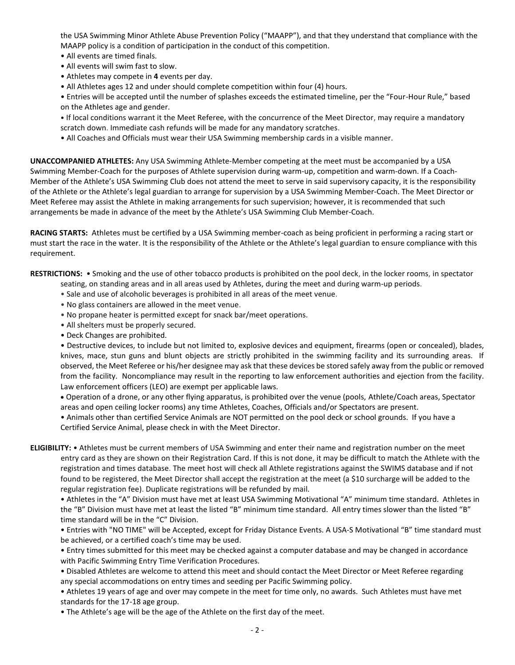the USA Swimming Minor Athlete Abuse Prevention Policy ("MAAPP"), and that they understand that compliance with the MAAPP policy is a condition of participation in the conduct of this competition.

- All events are timed finals.
- All events will swim fast to slow.
- Athletes may compete in **4** events per day.
- All Athletes ages 12 and under should complete competition within four (4) hours.

• Entries will be accepted until the number of splashes exceeds the estimated timeline, per the "Four-Hour Rule," based on the Athletes age and gender.

• If local conditions warrant it the Meet Referee, with the concurrence of the Meet Director, may require a mandatory scratch down. Immediate cash refunds will be made for any mandatory scratches.

• All Coaches and Officials must wear their USA Swimming membership cards in a visible manner.

**UNACCOMPANIED ATHLETES:** Any USA Swimming Athlete-Member competing at the meet must be accompanied by a USA Swimming Member-Coach for the purposes of Athlete supervision during warm-up, competition and warm-down. If a Coach-Member of the Athlete's USA Swimming Club does not attend the meet to serve in said supervisory capacity, it is the responsibility of the Athlete or the Athlete's legal guardian to arrange for supervision by a USA Swimming Member-Coach. The Meet Director or Meet Referee may assist the Athlete in making arrangements for such supervision; however, it is recommended that such arrangements be made in advance of the meet by the Athlete's USA Swimming Club Member-Coach.

**RACING STARTS:** Athletes must be certified by a USA Swimming member-coach as being proficient in performing a racing start or must start the race in the water. It is the responsibility of the Athlete or the Athlete's legal guardian to ensure compliance with this requirement.

**RESTRICTIONS:** • Smoking and the use of other tobacco products is prohibited on the pool deck, in the locker rooms, in spectator seating, on standing areas and in all areas used by Athletes, during the meet and during warm-up periods.

- Sale and use of alcoholic beverages is prohibited in all areas of the meet venue.
- No glass containers are allowed in the meet venue.
- No propane heater is permitted except for snack bar/meet operations.
- All shelters must be properly secured.
- Deck Changes are prohibited.

• Destructive devices, to include but not limited to, explosive devices and equipment, firearms (open or concealed), blades, knives, mace, stun guns and blunt objects are strictly prohibited in the swimming facility and its surrounding areas. If observed, the Meet Referee or his/her designee may ask that these devices be stored safely away from the public or removed from the facility. Noncompliance may result in the reporting to law enforcement authorities and ejection from the facility. Law enforcement officers (LEO) are exempt per applicable laws.

 Operation of a drone, or any other flying apparatus, is prohibited over the venue (pools, Athlete/Coach areas, Spectator areas and open ceiling locker rooms) any time Athletes, Coaches, Officials and/or Spectators are present.

• Animals other than certified Service Animals are NOT permitted on the pool deck or school grounds. If you have a Certified Service Animal, please check in with the Meet Director.

**ELIGIBILITY:** • Athletes must be current members of USA Swimming and enter their name and registration number on the meet entry card as they are shown on their Registration Card. If this is not done, it may be difficult to match the Athlete with the registration and times database. The meet host will check all Athlete registrations against the SWIMS database and if not found to be registered, the Meet Director shall accept the registration at the meet (a \$10 surcharge will be added to the regular registration fee). Duplicate registrations will be refunded by mail.

• Athletes in the "A" Division must have met at least USA Swimming Motivational "A" minimum time standard. Athletes in the "B" Division must have met at least the listed "B" minimum time standard. All entry times slower than the listed "B" time standard will be in the "C" Division.

• Entries with "NO TIME" will be Accepted, except for Friday Distance Events. A USA-S Motivational "B" time standard must be achieved, or a certified coach's time may be used.

• Entry times submitted for this meet may be checked against a computer database and may be changed in accordance with Pacific Swimming Entry Time Verification Procedures.

• Disabled Athletes are welcome to attend this meet and should contact the Meet Director or Meet Referee regarding any special accommodations on entry times and seeding per Pacific Swimming policy.

• Athletes 19 years of age and over may compete in the meet for time only, no awards. Such Athletes must have met standards for the 17-18 age group.

• The Athlete's age will be the age of the Athlete on the first day of the meet.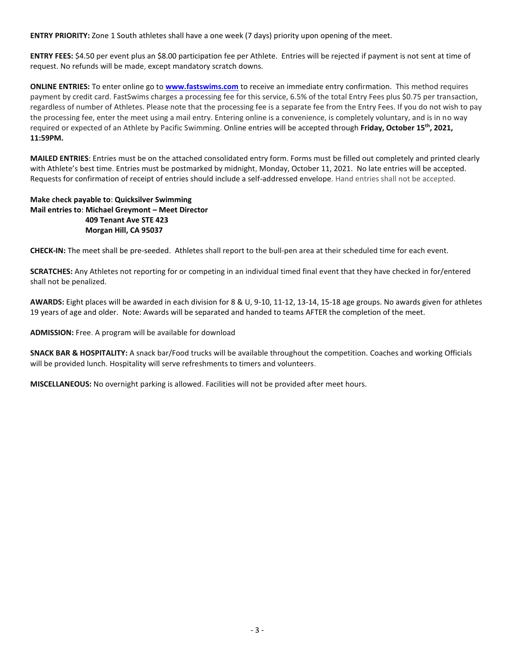**ENTRY PRIORITY:** Zone 1 South athletes shall have a one week (7 days) priority upon opening of the meet.

**ENTRY FEES:** \$4.50 per event plus an \$8.00 participation fee per Athlete. Entries will be rejected if payment is not sent at time of request. No refunds will be made, except mandatory scratch downs.

**ONLINE ENTRIES:** To enter online go to **[www.fastswims.com](http://www.fastswims.com/)** to receive an immediate entry confirmation. This method requires payment by credit card. FastSwims charges a processing fee for this service, 6.5% of the total Entry Fees plus \$0.75 per transaction, regardless of number of Athletes. Please note that the processing fee is a separate fee from the Entry Fees. If you do not wish to pay the processing fee, enter the meet using a mail entry. Entering online is a convenience, is completely voluntary, and is in no way required or expected of an Athlete by Pacific Swimming. Online entries will be accepted through **Friday, October 15th, 2021, 11:59PM.**

**MAILED ENTRIES**: Entries must be on the attached consolidated entry form. Forms must be filled out completely and printed clearly with Athlete's best time. Entries must be postmarked by midnight, Monday, October 11, 2021. No late entries will be accepted. Requests for confirmation of receipt of entries should include a self-addressed envelope. Hand entries shall not be accepted.

## **Make check payable to**: **Quicksilver Swimming Mail entries to**: **Michael Greymont – Meet Director 409 Tenant Ave STE 423 Morgan Hill, CA 95037**

**CHECK-IN:** The meet shall be pre-seeded. Athletes shall report to the bull-pen area at their scheduled time for each event.

**SCRATCHES:** Any Athletes not reporting for or competing in an individual timed final event that they have checked in for/entered shall not be penalized.

**AWARDS:** Eight places will be awarded in each division for 8 & U, 9-10, 11-12, 13-14, 15-18 age groups. No awards given for athletes 19 years of age and older. Note: Awards will be separated and handed to teams AFTER the completion of the meet.

**ADMISSION:** Free. A program will be available for download

**SNACK BAR & HOSPITALITY:** A snack bar/Food trucks will be available throughout the competition. Coaches and working Officials will be provided lunch. Hospitality will serve refreshments to timers and volunteers.

**MISCELLANEOUS:** No overnight parking is allowed. Facilities will not be provided after meet hours.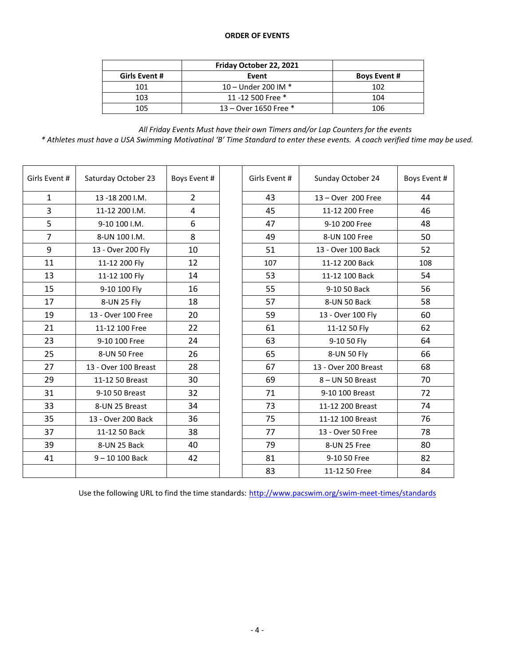## **ORDER OF EVENTS**

|               | Friday October 22, 2021 |                     |
|---------------|-------------------------|---------------------|
| Girls Event # | Event                   | <b>Boys Event #</b> |
| 101           | 10 – Under 200 IM $*$   | 102                 |
| 103           | 11 -12 500 Free *       | 104                 |
| 105           | 13 – Over 1650 Free $*$ | 106                 |

*All Friday Events Must have their own Timers and/or Lap Counters for the events \* Athletes must have a USA Swimming Motivatinal 'B' Time Standard to enter these events. A coach verified time may be used.*

| Girls Event #  | Saturday October 23  | Boys Event #   |  | Girls Event # | Sunday October 24    | Boys Event # |
|----------------|----------------------|----------------|--|---------------|----------------------|--------------|
| $\mathbf{1}$   | 13-18 200 I.M.       | $\overline{2}$ |  | 43            | 13 - Over 200 Free   | 44           |
| 3              | 11-12 200 I.M.       | 4              |  | 45            | 11-12 200 Free       | 46           |
| 5              | 9-10 100 I.M.        | 6              |  | 47            | 9-10 200 Free        | 48           |
| $\overline{7}$ | 8-UN 100 I.M.        | 8              |  | 49            | 8-UN 100 Free        | 50           |
| 9              | 13 - Over 200 Fly    | 10             |  | 51            | 13 - Over 100 Back   | 52           |
| 11             | 11-12 200 Fly        | 12             |  | 107           | 11-12 200 Back       | 108          |
| 13             | 11-12 100 Fly        | 14             |  | 53            | 11-12 100 Back       | 54           |
| 15             | 9-10 100 Fly         | 16             |  | 55            | 9-10 50 Back         | 56           |
| 17             | 8-UN 25 Fly          | 18             |  | 57            | 8-UN 50 Back         | 58           |
| 19             | 13 - Over 100 Free   | 20             |  | 59            | 13 - Over 100 Fly    | 60           |
| 21             | 11-12 100 Free       | 22             |  | 61            | 11-12 50 Fly         | 62           |
| 23             | 9-10 100 Free        | 24             |  | 63            | 9-10 50 Fly          | 64           |
| 25             | 8-UN 50 Free         | 26             |  | 65            | 8-UN 50 Fly          | 66           |
| 27             | 13 - Over 100 Breast | 28             |  | 67            | 13 - Over 200 Breast | 68           |
| 29             | 11-12 50 Breast      | 30             |  | 69            | 8 - UN 50 Breast     | 70           |
| 31             | 9-10 50 Breast       | 32             |  | 71            | 9-10 100 Breast      | 72           |
| 33             | 8-UN 25 Breast       | 34             |  | 73            | 11-12 200 Breast     | 74           |
| 35             | 13 - Over 200 Back   | 36             |  | 75            | 11-12 100 Breast     | 76           |
| 37             | 11-12 50 Back        | 38             |  | 77            | 13 - Over 50 Free    | 78           |
| 39             | 8-UN 25 Back         | 40             |  | 79            | 8-UN 25 Free         | 80           |
| 41             | $9 - 10 100$ Back    | 42             |  | 81            | 9-10 50 Free         | 82           |
|                |                      |                |  | 83            | 11-12 50 Free        | 84           |

Use the following URL to find the time standards: <http://www.pacswim.org/swim-meet-times/standards>